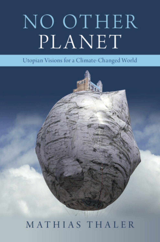# NO OTHER PLANET

#### Utopian Visions for a Climate-Changed World

### MATHIAS THALER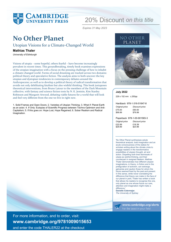

### 20% Discount on this title

*Expires 31 May 2023*

## **No Other Planet**

Utopian Visions for a Climate-Changed World

#### **Mathias Thaler**

*University of Edinburgh*

Visions of utopia – some hopeful, others fearful – have become increasingly prevalent in recent times. This groundbreaking, timely book examines expressions of the utopian imagination with a focus on the pressing challenge of how to inhabit a climate-changed world. Forms of social dreaming are tracked across two domains: political theory and speculative fiction. The analysis aims to both uncover the key utopian and dystopian tendencies in contemporary debates around the Anthropocene; as well as to develop a political theory of radical transformation that avoids not only debilitating fatalism but also wishful thinking. This book juxtaposes theoretical interventions, from Bruno Latour to the members of the Dark Mountain collective, with fantasy and science fiction texts by N. K. Jemisin, Kim Stanley Robinson and Margaret Atwood, debating viable futures for a world that will look and feel very different from the one we live in right now.

1. Solid Frames and Open Doors; 2. Varieties of Utopian Thinking; 3. What if: Planet Earth as an actor; 4. If Only: Eutopias of Scientific Progress between Techno-Optimism and Anti-Capitalism; 5. If this goes on: Hope Lost, Hope Regained; 6. Sober Realism and Radical Imagination.





#### **July 2022**

229 x 152 mm c.250pp

| Hardback 978-1-316-51647-8 |                             |
|----------------------------|-----------------------------|
| Original price             | Discount price              |
| £75.00                     | £60.00                      |
| \$99.99                    | \$79.99                     |
|                            |                             |
|                            | Paperback 978-1-00-901565-3 |
|                            |                             |

£22.99 £18.39<br>\$29.99 \$23.99 *Original price Discount price* \$23.99

'No Other Planet synthesises astute theoretical analysis, bold imagination and an acute consciousness of the stakes for scholars writing about the climate crisis to engage readers in the transformative possibilities of utopian thought, art and action. Dispelling both tired dismissals of utopia as wishful thinking, and their counterpart in resigned fatalism, Mathias Thaler demonstrates how different utopian imaginations, in theory, in fiction and in the prefiguration of activism, can estrange, galvanise and caution those for whom the future seemed fixed by the past and present. In this sense, while never overstating the difference that theory can make in the face of

our planet in peril, Thaler has written a book that allows his readers to recognise this one, only planet as one whose future our care, attention and imagination might make a difference.'

**Danielle Celermajer**, *The University of Sydney*



www.cambridge.org/alerts

For more information, and to order, visit: **www.cambridge.org/9781009015653** and enter the code THALER22 at the checkout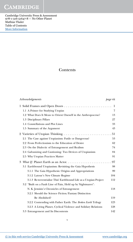### **Contents**

|   | Acknowledgements                                                   | page vii |
|---|--------------------------------------------------------------------|----------|
|   |                                                                    | 1        |
|   | 1.1 A Primer for Studying Utopias                                  | 7        |
|   | 1.2 What Does It Mean to Orient Oneself in the Anthropocene?       | 13       |
|   | 1.3 Disciplinary Pillars                                           | 27       |
|   | 1.4 Constellations and Plot Lines                                  | 33       |
|   | 1.5 Summary of the Argument                                        | 43       |
|   | 2 Varieties of Utopian Thinking                                    | 51       |
|   | 2.1 The Case against Utopianism: Futile or Dangerous?              | 53       |
|   | 2.2 From Perfectionism to the Education of Desire                  | 62       |
|   | 2.3 On the Dialectic of Estrangement and Realism                   | 74       |
|   | 2.4 Galvanizing and Cautioning: Two Devices of Utopianism          | 84       |
|   | 2.5 Why Utopian Practices Matter                                   | 91       |
| 3 |                                                                    | 97       |
|   | 3.1 Earthbound Utopianism: Revisiting the Gaia Hypothesis          | 98       |
|   | 3.1.1 The Gaia Hypothesis: Origins and Appropriations              | 99       |
|   | 3.1.2 Latour's New Climate Regime                                  | 104      |
|   | 3.1.3 Re-terrestrialize This! Earthbound Life as a Utopian Project | 112      |
|   | 3.2 "Built on a Fault Line of Pain, Held up by Nightmares":        |          |
|   | N. K. Jemisin's Chronicles of Estrangement                         | 118      |
|   | 3.2.1 Should the Science Fiction/Fantasy Distinction               |          |
|   | Be Abolished?                                                      | 119      |
|   | 3.2.2 Contending with Father Earth: The Broken Earth Trilogy       | 123      |
|   | 3.2.3 A Living Planet, Cyclical Violence and Solidary Relations    | 128      |
|   | 22 Estrangement and Its Dissentants                                | 149      |

3.3 Estrangement and Its Discontents 142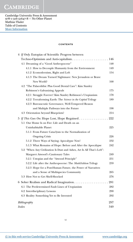#### CONTENTS

| 4 If Only: Eutopias of Scientific Progress between                     |     |  |
|------------------------------------------------------------------------|-----|--|
| Techno-Optimism and Anti-capitalism<br>.                               | 146 |  |
| 4.1 Dreaming of a "Good Anthropocene"                                  | 148 |  |
| 4.1.1 How to Decouple Humanity from the Environment                    | 149 |  |
| 4.1.2 Ecomodernism, Right and Left                                     | 154 |  |
| 4.1.3 The Dream Turned Nightmare: New Jerusalem or Brave               |     |  |
| New World?                                                             | 168 |  |
| 4.2 "The Palaeolithic Plus Good Dental Care": Kim Stanley              |     |  |
| Robinson's Galvanizing Appeals                                         | 175 |  |
| 4.2.1 Struggle Forever! Kim Stanley Robinson's Utopianism              | 178 |  |
| 4.2.2 Terraforming Earth: The Science in the Capital Trilogy           | 189 |  |
| 4.2.3 Bureaucratic Governance, Well-Tempered Reason                    |     |  |
| and Multiple Pathways into the Future                                  | 198 |  |
| 4.3 Orientation beyond Blueprints?                                     | 214 |  |
| 5 If This Goes On: Hope Lost, Hope Regained $\dots \dots \dots$        | 222 |  |
| 5.1 Our Home Is on Fire: Life and Death on an                          |     |  |
| Uninhabitable Planet                                                   | 225 |  |
| 5.1.1 From Future Cataclysm to the Normalization of                    |     |  |
| <b>Ongoing Crisis</b>                                                  | 226 |  |
| 5.1.2 Three Ways of Saying: Apocalypse Now!                            | 232 |  |
| 5.1.3 What Remains of Hope: Before and After the Apocalypse            | 242 |  |
| 5.2 "When Any Civilization Is Dust and Ashes, Art Is All That's Left": |     |  |
| Margaret Atwood's Cautionary Tales                                     | 249 |  |
| 5.2.1 Ustopias and the "Atwood Principle"                              | 251 |  |
| 5.2.2 Life after the Anthropocene: The MaddAddam Trilogy               | 259 |  |
| 5.2.3 Hope for a Post-Human Future, the Power of Narratives            |     |  |
| and a Sense of Multispecies Community                                  | 265 |  |
| 5.3 How Not to Get Shell-Shocked                                       | 276 |  |
| 6 Sober Realism and Radical Imagination.                               | 281 |  |
| 6.1 The Predetermined Fault Lines of Utopianism                        | 282 |  |
| 6.2 Interdisciplinary Lessons                                          | 290 |  |
| 6.3 Reality: Something Yet to Be Invented                              | 292 |  |
| 297<br>Bibliography                                                    |     |  |
| Index                                                                  |     |  |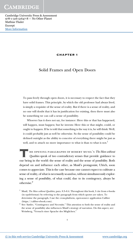#### CHAPTER 1

#### Solid Frames and Open Doors

To pass freely through open doors, it is necessary to respect the fact that they have solid frames. This principle, by which the old professor had always lived, is simply a requisite of the sense of reality. But if there is a sense of reality, and no one will doubt that it has its justification for existing, then there must also be something we can call a sense of possibility.

Whoever has it does not say, for instance: Here this or that has happened, will happen, must happen; but he invents: Here this or that might, could, or ought to happen. If he is told that something is the way it is, he will think: Well, it could probably just as well be otherwise. So the sense of possibility could be defined outright as the ability to conceive of everything there might be just as well, and to attach no more importance to what is than to what is not.<sup>1</sup>

 $\sum_{n=1}^{\infty}$ he opening paragraphs of robert musil's *The Man without Qualities* speak of two contradictory senses that provide guidance to our being in the world: the sense of reality and the sense of possibility. Both depend on and influence each other, as Musil's protagonist, Ulrich, soon comes to appreciate. This is the case because one cannot expect to cultivate a sense of reality, of what is necessarily so-and-so, without simultaneously exploring a sense of possibility, of what could, due to its contingency, always be otherwise.<sup>2</sup>

<sup>1</sup> Musil, *The Man without Qualities*, para. 8.3–8.4. Throughout this book, I cite from e-books (in epub-format) by referring to the paragraph from which quotes are taken. To determine the paragraph, I use the cross-platform, open-source application Calibre (https://calibre-ebook.com).

<sup>&</sup>lt;sup>2</sup> See: Sattler, "Contingency and Necessity." This attention to both the sense of reality and the sense of possibility also influences Musil's strategy of narration. On this aspect, see: Weissberg, "Versuch einer Sprache des Möglichen."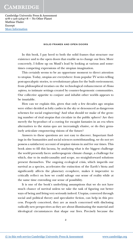#### SOLID FRAMES AND OPEN DOORS

In this book, I pay heed to both the solid frames that structure our existence and to the open doors that enable us to change our lives. More concretely, I follow up on Musil's lead by looking at various and sometimes competing expressions of the utopian imagination.

This certainly seems to be an opportune moment to direct attention to utopias. Today, utopias are everywhere: from popular TV series telling post-apocalyptic stories, to revolutionary plans for the built environment; from philosophical treatises on the technological enhancement of *Homo sapiens*, to intimate settings created by counter-hegemonic communities. Our collective appetite to conjure and inhabit other worlds appears to be insatiable.

How can we explain this, given that only a few decades ago utopias were either derided as lofty castles in the sky or denounced as dangerous schemes for social engineering? And what should we make of the growing number of rival utopias that circulate in the public sphere? Are they merely the by-product of a craving for escapist fantasies in an era when alternatives to the status quo are increasingly elusive, or do they genuinely articulate empowering visions of the future?

Answers to these questions are not easy to discover. Important findings in the humanities and social sciences notwithstanding, we do not yet possess a satisfactory account of utopian visions in and for our times. This book aims to fill this lacuna, by analyzing what is the biggest challenge the world presently faces: anthropogenic climate change, a challenge for which, due to its multi-causality and scope, no straightforward solutions present themselves. The ongoing ecological crisis, which imperils our survival as a species, accelerates the extinction of the Earth's biota and significantly affects the planetary ecosphere, makes it imperative to critically reflect on how we could salvage our sense of reality while at the same time extending our sense of possibility.

It is one of the book's underlying assumptions that we do not have much chance of survival unless we take the task of figuring out better ways of being and living very seriously indeed. Utopias, conveyed through social and political theory and speculative fiction, can help in this process. Properly conceived, they are as much concerned with disclosing radically new perspectives as they are about illuminating the material and ideological circumstances that shape our lives. Precisely because the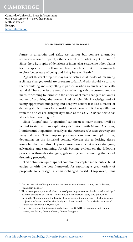#### SOLID FRAMES AND OPEN DOORS

future is uncertain and risky, we cannot but conjure alternative scenarios – some hopeful, others fearful – of what is yet to come.<sup>3</sup> Since there is, in spite of delusions of interstellar escape, no other planet for our species to dwell on, we have no choice but to imaginatively explore better ways of being and living here on Earth.<sup>4</sup>

Against this backdrop, we may ask ourselves what modes of imagining a climate-changed world are prevalent today. And why should we turn to theory building and storytelling in particular when so much is practically at stake? These queries are central to reckoning with the current predicament, for coming to terms with the effects of climate change is not only a matter of acquiring the correct kind of scientific knowledge and of taking appropriate mitigating and adaptive action; it is also a matter of debating viable futures for a world that will look and feel very different from the one we are living in right now, as the COVID-19 pandemic has already been teaching us.<sup>5</sup>

Since "utopia" and "utopianism" can mean so many things, it will be helpful to start with an exploratory definition. With Miguel Abensour, I understand utopianism broadly as the *education of a desire for being and living otherwise*. This utopian pedagogy can take multiple forms, depending on the historical context wherein the underlying desire arises, but there are three key mechanisms on which it relies: estranging, galvanizing and cautioning. As will become evident on the following pages, it is through estranging, galvanizing and cautioning that social dreaming proceeds.

This definition is perhaps not commonly accepted in the public, but it equips us with the best framework for capturing a great variety of proposals to envisage a climate-changed world. Utopianism, thus

<sup>&</sup>lt;sup>3</sup> On the centrality of imaginaries for debates around climate change, see: Milkoreit, "Imaginary Politics."

<sup>&</sup>lt;sup>4</sup> The emancipatory potential of such acts of picturing alternatives has been acknowledged by many advocates of Critical Theory, but it is Iris Marion Young who put it most succinctly: "Imagination is the faculty of transforming the experience of what is into a projection of what could be, the faculty that frees thought to form ideals and norms" (*Justice and the Politics of Difference*, 6).

<sup>&</sup>lt;sup>5</sup> For a discussion of the intersections between the COVID-19 pandemic and climate change, see: Malm, *Corona, Climate, Chronic Emergency*.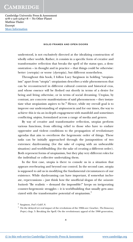#### SOLID FRAMES AND OPEN DOORS

understood, is not exclusively directed at the idealizing construction of wholly other worlds. Rather, it consists in a specific form of creative and transformative reflection that breaks the spell of the status quo, a demonstration – in thought and in practice – that things could be otherwise: better (*eu*-topia) or worse (*dys*-topia), but different nonetheless.

Throughout this book, I follow Lucy Sargisson in holding "utopianism" apart from "utopia": utopianism describes a wide phenomenon that can be reconstructed in different cultural contexts and historical eras, and whose essence will be fleshed out shortly in terms of a desire for being and living otherwise, or in terms of social dreaming. Utopias, by contrast, are concrete manifestations of said phenomenon – they instantiate what utopianism aspires to be. $<sup>6</sup>$  Hence, while my overall goal is to</sup> improve our understanding of *utopianism* in and for our times, the way to achieve this is via an in-depth engagement with manifold and sometimes conflicting *utopias*, formulated across a range of media and genres.

By way of creative and transformative reflection, utopias perform various functions, from offering relief to those who have to endure oppressive and violent conditions to the propagation of revolutionary agendas that aim to overthrow the hegemonic order of things. These tasks can be initially approached through the juxtaposition of two extremes: daydreaming (for the sake of coping with an unbearable situation) and worldbuilding (for the sake of creating a different order). Both represent forms of utopianism, but they play very different roles for the individual or collective undertaking them.

In the first case, utopia is there to console us in a situation that appears overbearing and beyond our control. In the second case, utopia is supposed to aid us in modifying the fundamental circumstances of our existence. While daydreaming can have important, if somewhat inchoate, repercussions – just think how the unofficial slogan of the *soixantehuitards* "Be realistic – demand the impossible!" keeps on invigorating counter-hegemonic struggles – it is worldbuilding that usually gets associated with the transformative potential of utopianism.<sup>7</sup>

<sup>6</sup> Sargisson, *Fool's Gold?*, 8.

<sup>7</sup> On the delayed yet real impact of the revolutions of the 1960s see: Graeber, *The Democracy Project*, chap. 5: Breaking the Spell. On the revolutionary appeal of the 1968 generation,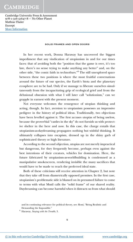#### SOLID FRAMES AND OPEN DOORS

In her recent work, Donna Haraway has uncovered the biggest impediment that any vindication of utopianism in and for our times faces: that of avoiding both the "position that the game is over, it's too late, there's no sense trying to make anything any better" and, on the other side, "the comic faith in technofixes." The still unexplored space between these two positions is where the most fruitful conversations around the future of our species, the Earth's biota and the planetary ecosphere are to be had. Only if we manage to liberate ourselves simultaneously from the incapacitating grip of ecological grief and from the delusional obsession with what I will later call "solutionism," can we grapple in earnest with the present moment.

Not everyone welcomes the resurgence of utopian thinking and acting, though. In fact, aversion to utopianism possesses an impressive pedigree in the history of political ideas. Traditionally, two objections have been levelled against it. The first accuses utopias of being useless, because the proverbial "castles in the sky" do not furnish us with protective shelter in the here and now. In this case, the charge entails that utopianism-as-daydreaming propagates nothing but wishful thinking. It ultimately collapses into escapism, dressed up in the shiny garb of sophisticated theory or high literature.

According to the second objection, utopias are not merely impractical but dangerous, for they frequently become, perhaps even against the best intentions of their creators, vehicles for domination. Here, the future fabricated by utopianism-as-worldbuilding is condemned as a manipulative smokescreen, rendering invisible the many sacrifices that would have to be made to reach the preferred ideal state.

Both of these criticisms will receive attention in Chapter 2, but note that they take off from diametrically opposed premises. In the first case, utopianism's problematic side is blamed on its presumed failure to come to terms with what Musil calls the "solid frame" of our shared reality. Daydreaming can become harmful when it distracts us from what should

and its continuing relevance for political theory, see: Rossi, "Being Realistic and Demanding the Impossible."

<sup>8</sup> Haraway, *Staying with the Trouble*, 3.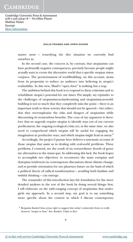#### SOLID FRAMES AND OPEN DOORS

matter most – remedying the dire situation we currently find ourselves in.

In the second case, the concern is, by contrast, that utopianism can have profoundly negative consequences, precisely because people might actually want to create the alternative world that a specific utopian vision conjures. The perniciousness of worldbuilding, on this account, stems from its propensity to seduce an audience into believing in utopia's realizability. In this view, Musil's "open door" is nothing but a trap.

The ambition behind this book is to respond to these criticisms and to rehabilitate utopia's potential for our times. Put simply, my rejoinder to the challenges of utopianism-as-daydreaming and utopianism-as-worldbuilding is not so much that they completely miss the point – there is an important truth to these worries that should not be ignored – but rather, that they overemphasize the risks and dangers of utopianism while discounting its tremendous benefits. The crux of my argument is therefore that we urgently require utopias to identify ways out of our current predicament, the ongoing ecological crisis; yet, at the same time, we also need to comprehend which utopias will be useful for engaging the imagination in productive ways, and which utopias might lead us astray.<sup>9</sup>

Accordingly, the project I pursue here delivers a systematic account of those utopias that assist us in dealing with real-world problems. These problems, I contend, are the result of an extraordinary dearth of genuine alternatives to the status quo. In addressing this lack, the book hopes to accomplish two objectives: to reconstruct the main eutopian and dystopian tendencies in contemporary discussions about climate change; and to provide orientation for our planetary future on the basis of which a political theory of radical transformation – avoiding both fatalism and wishful thinking – can emerge.

The remainder of this introduction lays the foundation for the more detailed analyses in the rest of the book by doing several things: first, I will elaborate on the wide-ranging concept of utopianism that undergirds my approach. In a second step, my goal is to say something more specific about the context in which I discuss contemporary

 $9$  Benjamin Kunkel thus seems right to suggest that today's existential choice is really between "utopia or bust." See: Kunkel, *Utopia or Bust*.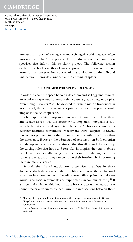#### 1.1 A PRIMER FOR STUDYING UTOPIAS

utopianism – ways of seeing a climate-changed world that are often associated with the Anthropocene. Third, I discuss the disciplinary perspectives that inform this scholarly project. The following section explains the book's methodological approach, by introducing two key terms for my case selection: constellation and plot line. In the fifth and final section, I provide a synopsis of the ensuing chapters.

#### **1.1 A PRIMER FOR STUDYING UTOPIAS**

In order to chart the space between defeatism and self-aggrandizement, we require a capacious framework that covers a great variety of utopias. Even though Chapter 2 will be devoted to examining this framework in more detail, this section includes a primer for how I propose to study utopias in the Anthropocene.

When approaching utopianism, we need to attend to at least three interrelated issues; first, the *dimensions* of utopianism: utopianism contains both  $eu$ -topian and  $dy$ s-topian elements.<sup>10</sup> This view contravenes everyday linguistic conventions whereby the word "utopian" is usually reserved for positive visions that are meant to be significantly better than the status quo. However, the advantage of zeroing in on both eutopian and dystopian theories and narratives is that this allows us to better grasp the varying roles that hope and fear play in utopias: they can mobilize people to fundamentally change their behaviour by widening their horizon of expectation; or they can constrain their freedom, by imprisoning them in fatalistic stories.

Second, the *sites* of utopianism: utopianism manifests in three domains, which shape one another – political and social theory; fictional narratives in various genres and media (novels, films, paintings and even music); and social movements and experiments in communal living.<sup>11</sup> It is a central claim of this book that a holistic account of utopianism cannot materialize unless we scrutinize the intersections between these

 $^{10}\,$  Although I employ a different terminology, this perspective resonates with Gregory Claeys' idea of a "composite definition" of utopianism. See: Claeys, "News from Somewhere."

<sup>&</sup>lt;sup>11</sup> For the *locus classicus* of this taxonomy, see: Sargent, "The Three Faces of Utopianism Revisited."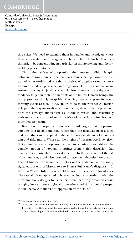#### SOLID FRAMES AND OPEN DOORS

three sites. We need to examine them in parallel and investigate where there are overlaps and divergences. The structure of this book reflects this insight by concentrating in particular on the storytelling and theorybuilding poles of utopianism.

Third, the *varieties* of utopianism: the utopian tradition is split between two rival strands – one that foregrounds the top–down construction of other worlds and one that conceives of utopian visions as more localized, modest, piecemeal interrogations of the hegemonic mainstream in society. Objections to utopianism often entail a critique of its tendency to generate static blueprints of the future. Human beings, the worry goes, are simply incapable of making systematic plans for transforming society as such. If they still try to do so, their wishes will inexorably pave the way for totalitarian domination, these critics deplore. Yet, once we envisage utopianism as internally varied and structurally ambiguous, the charge of utopianism's violent perfectionism becomes much less trenchant.

Based on this tripartite framework, I will argue that utopianism amounts to a flexible method, rather than the formulation of a fixed end goal, that can be applied to the anticipatory modelling of an uncertain and risky future. Where do the origins of this framework lie, given that up until recently utopianism seemed to be entirely discredited? The complex notion of utopianism springs from a rich discussion that emerged at a particular historical juncture. In the aftermath of the fall of communism, utopianism seemed to have been deposited on the ash heap of history. The triumphant victory of liberal democracy ostensibly signalled the end of history, to cite Francis Fukuyama's diagnosis.<sup>12</sup> In the New World Order, there would be no further appetite for utopias. The capitalist West appeared to have miraculously succeeded at what the most ambitious designs for a better future had only dreamed about: bringing into existence a global order where individuals could prosper in full liberty, without fear of oppression by the state. $^{13}$ 

<sup>12</sup> *The End of History and the Last Man*.

<sup>&</sup>lt;sup>13</sup> To be sure, I do not claim here that nobody pursued utopian ideas in the immediate aftermath of the Cold War. All I am suggesting is that the public mood after the demise of "actually existing socialism" was a decidedly anti-utopian one, due to the triumphalist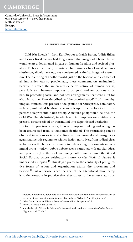#### 1.1 A PRIMER FOR STUDYING UTOPIAS

"Cold War liberals" – from Karl Popper to Isaiah Berlin, Judith Shklar and Leszek Kołakowski – had long warned that images of a better future would exert a detrimental impact on human freedom and societal pluralism. To hope too much, for instance by putting eschatological faith in a classless, egalitarian society, was condemned as the harbinger of extremism. The picturing of another world, just on the horizon and cleansed of all impurities, was so problematic, these commentators maintained, because it erased the inherently defective nature of human beings, perenially torn between impulses to do good and temptations to do bad. In promoting social and political arrangements that were ill fit for what Immanuel Kant described as "the crooked wood"<sup>14</sup> of humanity, utopian thinkers thus prepared the ground for widespread, eliminatory violence, unleashed by those who took it upon themselves to turn the perfect blueprint into harsh reality. A mature polity would be one, the Cold War liberals insisted, in which utopian impulses were either suppressed, circumscribed or transmuted into depoliticized aesthetics.

Over the past two decades, however, utopian thinking and acting has been resurrected from its temporary deathbed. This resurfacing can be observed in various social and cultural arenas. From global insurgencies against autocratic regimes to science fiction narratives, from radical pleas to transform the built environment to exhilarating experiments in communal living – today's public debate seems saturated with utopian ideas and practices. Just think of increasing enthusiasm around the World Social Forum, whose celebratory motto *Another World Is Possible* is unabashedly utopian.<sup>15</sup> This slogan points to the centrality of prefigurative forms of action and organization within the movement and beyond.<sup>16</sup> Put otherwise, since the goal of the alter-globalization camp is to demonstrate in practice that alternatives to the unjust status quo

<sup>15</sup> Santos, *The Rise of the Global Left*.

rhetoric employed by defenders of Western liberalism and capitalism. For an overview of recent writings on anti-utopianism see: Skrimshire, "What Is Anti-Utopianism?"

 $^{14}\,$  "Idea for a Universal History from a Cosmopolitan Perspective," 9.

<sup>16</sup> Maeckelbergh, "Doing Is Believing"; Raekstad and Gradin, *Prefigurative Politics*; Sande, "Fighting with Tools."